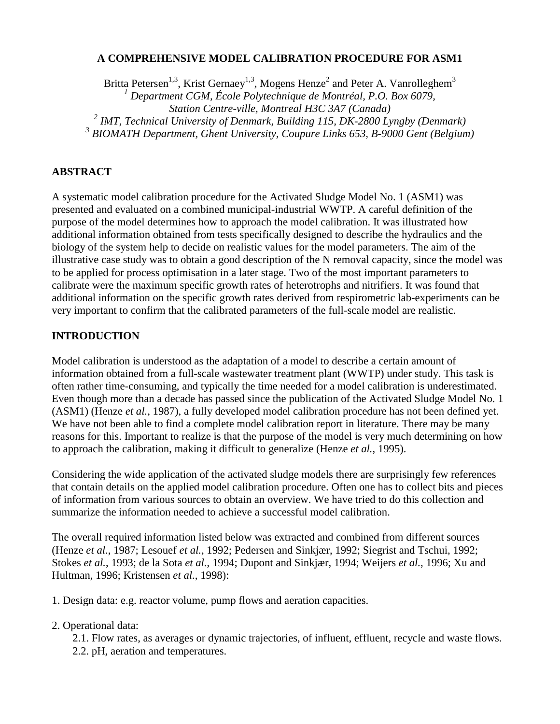### **A COMPREHENSIVE MODEL CALIBRATION PROCEDURE FOR ASM1**

Britta Petersen<sup>1,3</sup>, Krist Gernaey<sup>1,3</sup>, Mogens Henze<sup>2</sup> and Peter A. Vanrolleghem<sup>3</sup> *1 Department CGM, École Polytechnique de Montréal, P.O. Box 6079, Station Centre-ville, Montreal H3C 3A7 (Canada) 2 IMT, Technical University of Denmark, Building 115, DK-2800 Lyngby (Denmark)* <sup>3</sup> BIOMATH Department, Ghent University, Coupure Links 653, B-9000 Gent (Belgium)

## **ABSTRACT**

A systematic model calibration procedure for the Activated Sludge Model No. 1 (ASM1) was presented and evaluated on a combined municipal-industrial WWTP. A careful definition of the purpose of the model determines how to approach the model calibration. It was illustrated how additional information obtained from tests specifically designed to describe the hydraulics and the biology of the system help to decide on realistic values for the model parameters. The aim of the illustrative case study was to obtain a good description of the N removal capacity, since the model was to be applied for process optimisation in a later stage. Two of the most important parameters to calibrate were the maximum specific growth rates of heterotrophs and nitrifiers. It was found that additional information on the specific growth rates derived from respirometric lab-experiments can be very important to confirm that the calibrated parameters of the full-scale model are realistic.

## **INTRODUCTION**

Model calibration is understood as the adaptation of a model to describe a certain amount of information obtained from a full-scale wastewater treatment plant (WWTP) under study. This task is often rather time-consuming, and typically the time needed for a model calibration is underestimated. Even though more than a decade has passed since the publication of the Activated Sludge Model No. 1 (ASM1) (Henze *et al.*, 1987), a fully developed model calibration procedure has not been defined yet. We have not been able to find a complete model calibration report in literature. There may be many reasons for this. Important to realize is that the purpose of the model is very much determining on how to approach the calibration, making it difficult to generalize (Henze *et al.*, 1995).

Considering the wide application of the activated sludge models there are surprisingly few references that contain details on the applied model calibration procedure. Often one has to collect bits and pieces of information from various sources to obtain an overview. We have tried to do this collection and summarize the information needed to achieve a successful model calibration.

The overall required information listed below was extracted and combined from different sources (Henze *et al.*, 1987; Lesouef *et al.*, 1992; Pedersen and Sinkjær, 1992; Siegrist and Tschui, 1992; Stokes *et al.*, 1993; de la Sota *et al.*, 1994; Dupont and Sinkjær, 1994; Weijers *et al.*, 1996; Xu and Hultman, 1996; Kristensen *et al.*, 1998):

1. Design data: e.g. reactor volume, pump flows and aeration capacities.

### 2. Operational data:

2.1. Flow rates, as averages or dynamic trajectories, of influent, effluent, recycle and waste flows. 2.2. pH, aeration and temperatures.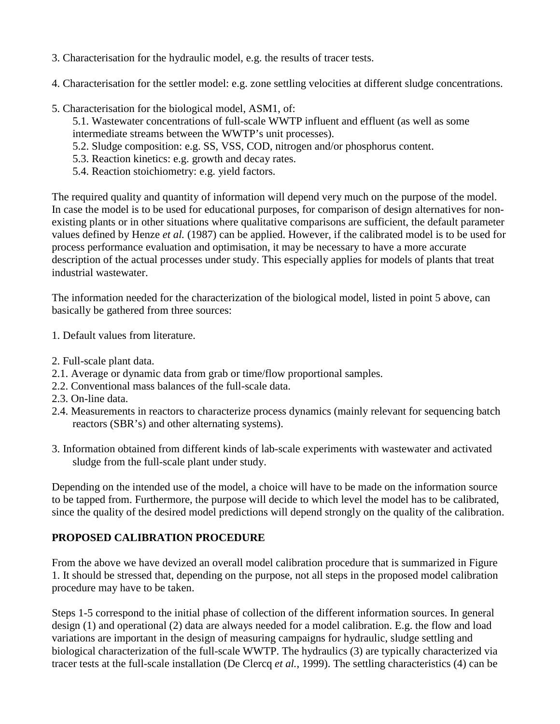- 3. Characterisation for the hydraulic model, e.g. the results of tracer tests.
- 4. Characterisation for the settler model: e.g. zone settling velocities at different sludge concentrations.
- 5. Characterisation for the biological model, ASM1, of:
	- 5.1. Wastewater concentrations of full-scale WWTP influent and effluent (as well as some
	- intermediate streams between the WWTP's unit processes).
	- 5.2. Sludge composition: e.g. SS, VSS, COD, nitrogen and/or phosphorus content.
	- 5.3. Reaction kinetics: e.g. growth and decay rates.
	- 5.4. Reaction stoichiometry: e.g. yield factors.

The required quality and quantity of information will depend very much on the purpose of the model. In case the model is to be used for educational purposes, for comparison of design alternatives for nonexisting plants or in other situations where qualitative comparisons are sufficient, the default parameter values defined by Henze *et al.* (1987) can be applied. However, if the calibrated model is to be used for process performance evaluation and optimisation, it may be necessary to have a more accurate description of the actual processes under study. This especially applies for models of plants that treat industrial wastewater.

The information needed for the characterization of the biological model, listed in point 5 above, can basically be gathered from three sources:

- 1. Default values from literature.
- 2. Full-scale plant data.
- 2.1. Average or dynamic data from grab or time/flow proportional samples.
- 2.2. Conventional mass balances of the full-scale data.
- 2.3. On-line data.
- 2.4. Measurements in reactors to characterize process dynamics (mainly relevant for sequencing batch reactors (SBR's) and other alternating systems).
- 3. Information obtained from different kinds of lab-scale experiments with wastewater and activated sludge from the full-scale plant under study.

Depending on the intended use of the model, a choice will have to be made on the information source to be tapped from. Furthermore, the purpose will decide to which level the model has to be calibrated, since the quality of the desired model predictions will depend strongly on the quality of the calibration.

# **PROPOSED CALIBRATION PROCEDURE**

From the above we have devized an overall model calibration procedure that is summarized in Figure 1. It should be stressed that, depending on the purpose, not all steps in the proposed model calibration procedure may have to be taken.

Steps 1-5 correspond to the initial phase of collection of the different information sources. In general design (1) and operational (2) data are always needed for a model calibration. E.g. the flow and load variations are important in the design of measuring campaigns for hydraulic, sludge settling and biological characterization of the full-scale WWTP. The hydraulics (3) are typically characterized via tracer tests at the full-scale installation (De Clercq *et al.*, 1999). The settling characteristics (4) can be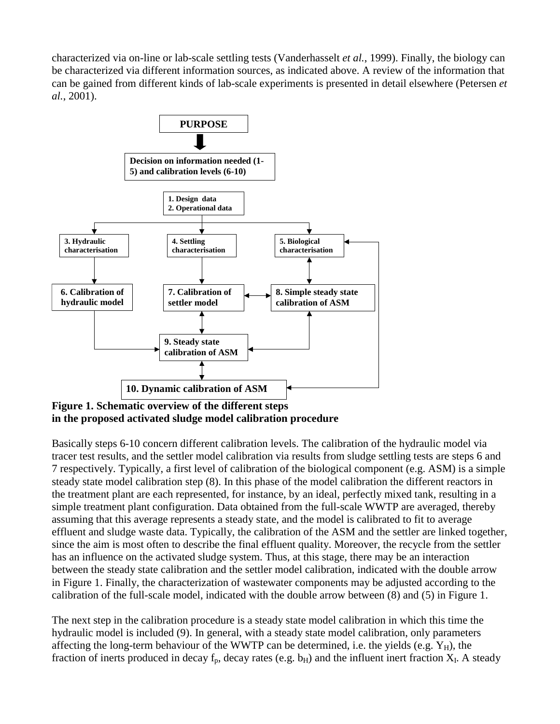characterized via on-line or lab-scale settling tests (Vanderhasselt *et al.*, 1999). Finally, the biology can be characterized via different information sources, as indicated above. A review of the information that can be gained from different kinds of lab-scale experiments is presented in detail elsewhere (Petersen *et al.*, 2001).



**Figure 1. Schematic overview of the different steps in the proposed activated sludge model calibration procedure**

Basically steps 6-10 concern different calibration levels. The calibration of the hydraulic model via tracer test results, and the settler model calibration via results from sludge settling tests are steps 6 and 7 respectively. Typically, a first level of calibration of the biological component (e.g. ASM) is a simple steady state model calibration step (8). In this phase of the model calibration the different reactors in the treatment plant are each represented, for instance, by an ideal, perfectly mixed tank, resulting in a simple treatment plant configuration. Data obtained from the full-scale WWTP are averaged, thereby assuming that this average represents a steady state, and the model is calibrated to fit to average effluent and sludge waste data. Typically, the calibration of the ASM and the settler are linked together, since the aim is most often to describe the final effluent quality. Moreover, the recycle from the settler has an influence on the activated sludge system. Thus, at this stage, there may be an interaction between the steady state calibration and the settler model calibration, indicated with the double arrow in Figure 1. Finally, the characterization of wastewater components may be adjusted according to the calibration of the full-scale model, indicated with the double arrow between (8) and (5) in Figure 1.

The next step in the calibration procedure is a steady state model calibration in which this time the hydraulic model is included (9). In general, with a steady state model calibration, only parameters affecting the long-term behaviour of the WWTP can be determined, i.e. the yields (e.g.  $Y_H$ ), the fraction of inerts produced in decay  $f_p$ , decay rates (e.g.  $b_H$ ) and the influent inert fraction  $X_I$ . A steady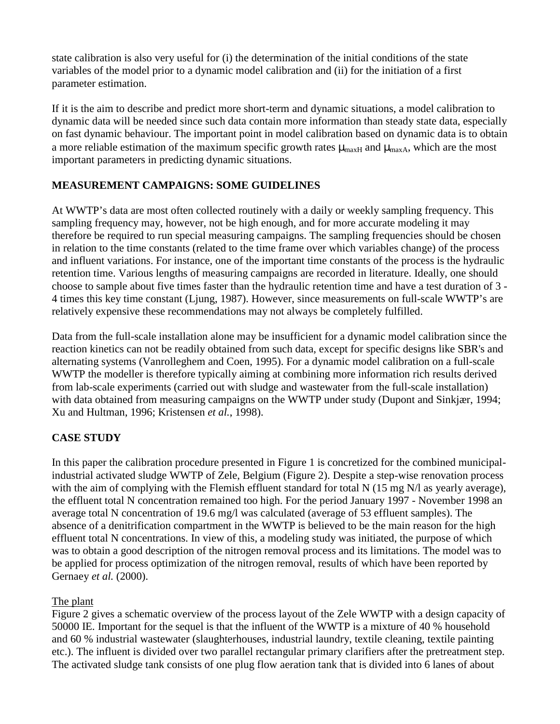state calibration is also very useful for (i) the determination of the initial conditions of the state variables of the model prior to a dynamic model calibration and (ii) for the initiation of a first parameter estimation.

If it is the aim to describe and predict more short-term and dynamic situations, a model calibration to dynamic data will be needed since such data contain more information than steady state data, especially on fast dynamic behaviour. The important point in model calibration based on dynamic data is to obtain a more reliable estimation of the maximum specific growth rates  $\mu_{\text{maxH}}$  and  $\mu_{\text{maxA}}$ , which are the most important parameters in predicting dynamic situations.

# **MEASUREMENT CAMPAIGNS: SOME GUIDELINES**

At WWTP's data are most often collected routinely with a daily or weekly sampling frequency. This sampling frequency may, however, not be high enough, and for more accurate modeling it may therefore be required to run special measuring campaigns. The sampling frequencies should be chosen in relation to the time constants (related to the time frame over which variables change) of the process and influent variations. For instance, one of the important time constants of the process is the hydraulic retention time. Various lengths of measuring campaigns are recorded in literature. Ideally, one should choose to sample about five times faster than the hydraulic retention time and have a test duration of 3 - 4 times this key time constant (Ljung, 1987). However, since measurements on full-scale WWTP's are relatively expensive these recommendations may not always be completely fulfilled.

Data from the full-scale installation alone may be insufficient for a dynamic model calibration since the reaction kinetics can not be readily obtained from such data, except for specific designs like SBR's and alternating systems (Vanrolleghem and Coen, 1995). For a dynamic model calibration on a full-scale WWTP the modeller is therefore typically aiming at combining more information rich results derived from lab-scale experiments (carried out with sludge and wastewater from the full-scale installation) with data obtained from measuring campaigns on the WWTP under study (Dupont and Sinkjær, 1994; Xu and Hultman, 1996; Kristensen *et al.*, 1998).

# **CASE STUDY**

In this paper the calibration procedure presented in Figure 1 is concretized for the combined municipalindustrial activated sludge WWTP of Zele, Belgium (Figure 2). Despite a step-wise renovation process with the aim of complying with the Flemish effluent standard for total N (15 mg N/l as yearly average), the effluent total N concentration remained too high. For the period January 1997 - November 1998 an average total N concentration of 19.6 mg/l was calculated (average of 53 effluent samples). The absence of a denitrification compartment in the WWTP is believed to be the main reason for the high effluent total N concentrations. In view of this, a modeling study was initiated, the purpose of which was to obtain a good description of the nitrogen removal process and its limitations. The model was to be applied for process optimization of the nitrogen removal, results of which have been reported by Gernaey *et al.* (2000).

# The plant

Figure 2 gives a schematic overview of the process layout of the Zele WWTP with a design capacity of 50000 IE. Important for the sequel is that the influent of the WWTP is a mixture of 40 % household and 60 % industrial wastewater (slaughterhouses, industrial laundry, textile cleaning, textile painting etc.). The influent is divided over two parallel rectangular primary clarifiers after the pretreatment step. The activated sludge tank consists of one plug flow aeration tank that is divided into 6 lanes of about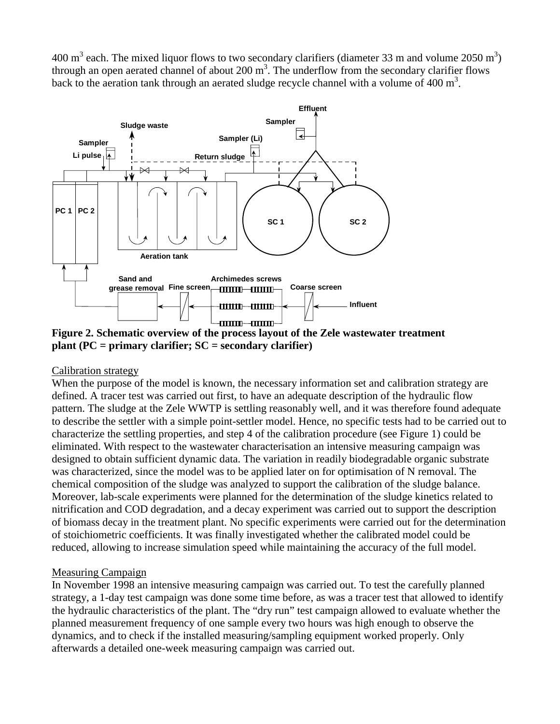400 m<sup>3</sup> each. The mixed liquor flows to two secondary clarifiers (diameter 33 m and volume 2050 m<sup>3</sup>) through an open aerated channel of about  $200 \text{ m}^3$ . The underflow from the secondary clarifier flows back to the aeration tank through an aerated sludge recycle channel with a volume of 400  $m^3$ .



**Figure 2. Schematic overview of the process layout of the Zele wastewater treatment plant (PC = primary clarifier; SC = secondary clarifier)**

### Calibration strategy

When the purpose of the model is known, the necessary information set and calibration strategy are defined. A tracer test was carried out first, to have an adequate description of the hydraulic flow pattern. The sludge at the Zele WWTP is settling reasonably well, and it was therefore found adequate to describe the settler with a simple point-settler model. Hence, no specific tests had to be carried out to characterize the settling properties, and step 4 of the calibration procedure (see Figure 1) could be eliminated. With respect to the wastewater characterisation an intensive measuring campaign was designed to obtain sufficient dynamic data. The variation in readily biodegradable organic substrate was characterized, since the model was to be applied later on for optimisation of N removal. The chemical composition of the sludge was analyzed to support the calibration of the sludge balance. Moreover, lab-scale experiments were planned for the determination of the sludge kinetics related to nitrification and COD degradation, and a decay experiment was carried out to support the description of biomass decay in the treatment plant. No specific experiments were carried out for the determination of stoichiometric coefficients. It was finally investigated whether the calibrated model could be reduced, allowing to increase simulation speed while maintaining the accuracy of the full model.

### Measuring Campaign

In November 1998 an intensive measuring campaign was carried out. To test the carefully planned strategy, a 1-day test campaign was done some time before, as was a tracer test that allowed to identify the hydraulic characteristics of the plant. The "dry run" test campaign allowed to evaluate whether the planned measurement frequency of one sample every two hours was high enough to observe the dynamics, and to check if the installed measuring/sampling equipment worked properly. Only afterwards a detailed one-week measuring campaign was carried out.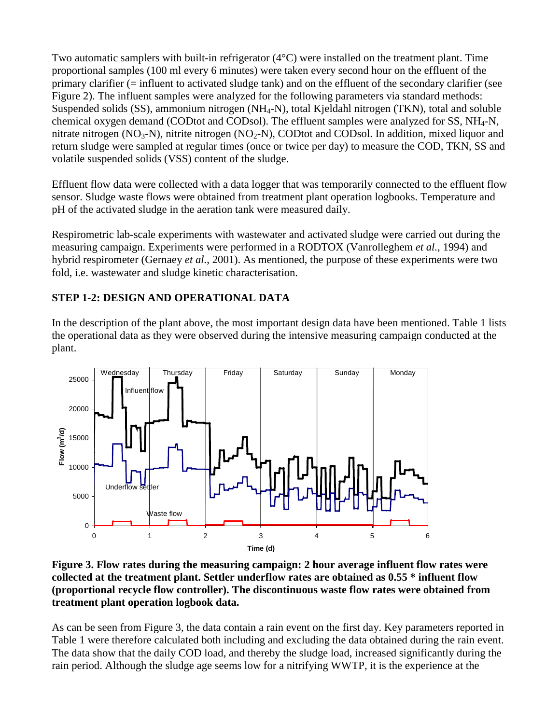Two automatic samplers with built-in refrigerator  $(4^{\circ}C)$  were installed on the treatment plant. Time proportional samples (100 ml every 6 minutes) were taken every second hour on the effluent of the primary clarifier (= influent to activated sludge tank) and on the effluent of the secondary clarifier (see Figure 2). The influent samples were analyzed for the following parameters via standard methods: Suspended solids (SS), ammonium nitrogen (NH4-N), total Kjeldahl nitrogen (TKN), total and soluble chemical oxygen demand (CODtot and CODsol). The effluent samples were analyzed for SS, NH4-N, nitrate nitrogen ( $NO<sub>3</sub>-N$ ), nitrite nitrogen ( $NO<sub>2</sub>-N$ ), CODtot and CODsol. In addition, mixed liquor and return sludge were sampled at regular times (once or twice per day) to measure the COD, TKN, SS and volatile suspended solids (VSS) content of the sludge.

Effluent flow data were collected with a data logger that was temporarily connected to the effluent flow sensor. Sludge waste flows were obtained from treatment plant operation logbooks. Temperature and pH of the activated sludge in the aeration tank were measured daily.

Respirometric lab-scale experiments with wastewater and activated sludge were carried out during the measuring campaign. Experiments were performed in a RODTOX (Vanrolleghem *et al.*, 1994) and hybrid respirometer (Gernaey *et al.*, 2001). As mentioned, the purpose of these experiments were two fold, i.e. wastewater and sludge kinetic characterisation.

# **STEP 1-2: DESIGN AND OPERATIONAL DATA**

In the description of the plant above, the most important design data have been mentioned. Table 1 lists the operational data as they were observed during the intensive measuring campaign conducted at the plant.



**Figure 3. Flow rates during the measuring campaign: 2 hour average influent flow rates were collected at the treatment plant. Settler underflow rates are obtained as 0.55 \* influent flow (proportional recycle flow controller). The discontinuous waste flow rates were obtained from treatment plant operation logbook data.**

As can be seen from Figure 3, the data contain a rain event on the first day. Key parameters reported in Table 1 were therefore calculated both including and excluding the data obtained during the rain event. The data show that the daily COD load, and thereby the sludge load, increased significantly during the rain period. Although the sludge age seems low for a nitrifying WWTP, it is the experience at the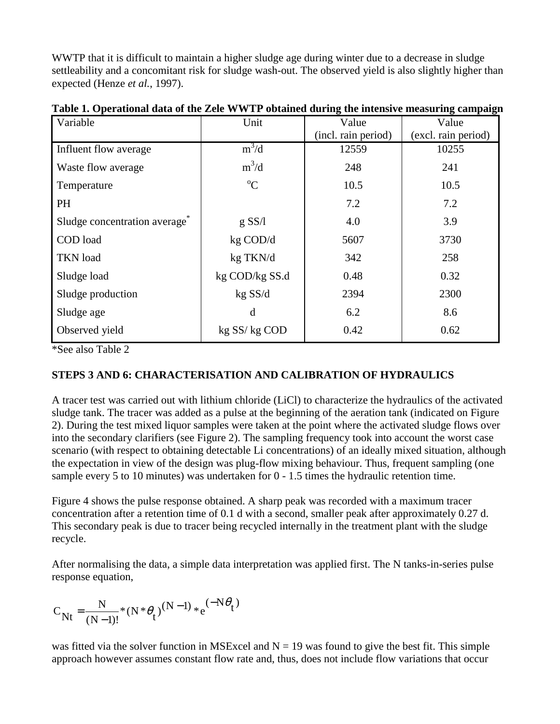WWTP that it is difficult to maintain a higher sludge age during winter due to a decrease in sludge settleability and a concomitant risk for sludge wash-out. The observed yield is also slightly higher than expected (Henze *et al.*, 1997).

| Variable                     | Unit           | Value               | Value               |
|------------------------------|----------------|---------------------|---------------------|
|                              |                | (incl. rain period) | (excl. rain period) |
| Influent flow average        | $m^3/d$        | 12559               | 10255               |
| Waste flow average           | $m^3/d$        | 248                 | 241                 |
| Temperature                  | ${}^{0}C$      | 10.5                | 10.5                |
| PH                           |                | 7.2                 | 7.2                 |
| Sludge concentration average | $g$ SS/1       | 4.0                 | 3.9                 |
| COD load                     | kg COD/d       | 5607                | 3730                |
| TKN load                     | kg TKN/d       | 342                 | 258                 |
| Sludge load                  | kg COD/kg SS.d | 0.48                | 0.32                |
| Sludge production            | $kg$ SS/d      | 2394                | 2300                |
| Sludge age                   | d              | 6.2                 | 8.6                 |
| Observed yield               | kg SS/kg COD   | 0.42                | 0.62                |
|                              |                |                     |                     |

**Table 1. Operational data of the Zele WWTP obtained during the intensive measuring campaign**

\*See also Table 2

# **STEPS 3 AND 6: CHARACTERISATION AND CALIBRATION OF HYDRAULICS**

A tracer test was carried out with lithium chloride (LiCl) to characterize the hydraulics of the activated sludge tank. The tracer was added as a pulse at the beginning of the aeration tank (indicated on Figure 2). During the test mixed liquor samples were taken at the point where the activated sludge flows over into the secondary clarifiers (see Figure 2). The sampling frequency took into account the worst case scenario (with respect to obtaining detectable Li concentrations) of an ideally mixed situation, although the expectation in view of the design was plug-flow mixing behaviour. Thus, frequent sampling (one sample every 5 to 10 minutes) was undertaken for 0 - 1.5 times the hydraulic retention time.

Figure 4 shows the pulse response obtained. A sharp peak was recorded with a maximum tracer concentration after a retention time of 0.1 d with a second, smaller peak after approximately 0.27 d. This secondary peak is due to tracer being recycled internally in the treatment plant with the sludge recycle.

After normalising the data, a simple data interpretation was applied first. The N tanks-in-series pulse response equation,

$$
C_{Nt} = \frac{N}{(N-1)!} * (N * \theta_t)^{(N-1)} * e^{(-N\theta_t)}
$$

was fitted via the solver function in MSExcel and  $N = 19$  was found to give the best fit. This simple approach however assumes constant flow rate and, thus, does not include flow variations that occur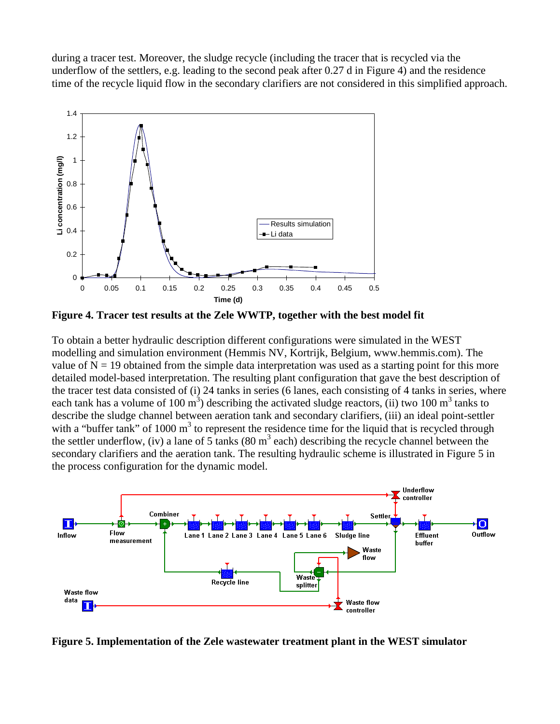during a tracer test. Moreover, the sludge recycle (including the tracer that is recycled via the underflow of the settlers, e.g. leading to the second peak after 0.27 d in Figure 4) and the residence time of the recycle liquid flow in the secondary clarifiers are not considered in this simplified approach.



**Figure 4. Tracer test results at the Zele WWTP, together with the best model fit**

To obtain a better hydraulic description different configurations were simulated in the WEST modelling and simulation environment (Hemmis NV, Kortrijk, Belgium, www.hemmis.com). The value of  $N = 19$  obtained from the simple data interpretation was used as a starting point for this more detailed model-based interpretation. The resulting plant configuration that gave the best description of the tracer test data consisted of (i) 24 tanks in series (6 lanes, each consisting of 4 tanks in series, where each tank has a volume of 100 m<sup>3</sup>) describing the activated sludge reactors, (ii) two 100 m<sup>3</sup> tanks to describe the sludge channel between aeration tank and secondary clarifiers, (iii) an ideal point-settler with a "buffer tank" of  $1000 \text{ m}^3$  to represent the residence time for the liquid that is recycled through the settler underflow, (iv) a lane of 5 tanks (80  $m^3$  each) describing the recycle channel between the secondary clarifiers and the aeration tank. The resulting hydraulic scheme is illustrated in Figure 5 in the process configuration for the dynamic model.



**Figure 5. Implementation of the Zele wastewater treatment plant in the WEST simulator**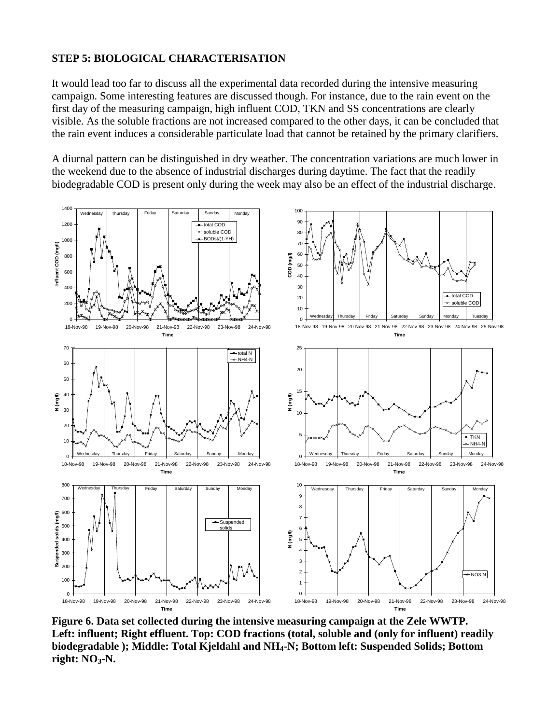### **STEP 5: BIOLOGICAL CHARACTERISATION**

It would lead too far to discuss all the experimental data recorded during the intensive measuring campaign. Some interesting features are discussed though. For instance, due to the rain event on the first day of the measuring campaign, high influent COD, TKN and SS concentrations are clearly visible. As the soluble fractions are not increased compared to the other days, it can be concluded that the rain event induces a considerable particulate load that cannot be retained by the primary clarifiers.

A diurnal pattern can be distinguished in dry weather. The concentration variations are much lower in the weekend due to the absence of industrial discharges during daytime. The fact that the readily biodegradable COD is present only during the week may also be an effect of the industrial discharge.



**Figure 6. Data set collected during the intensive measuring campaign at the Zele WWTP. Left: influent; Right effluent. Top: COD fractions (total, soluble and (only for influent) readily biodegradable ); Middle: Total Kjeldahl and NH4-N; Bottom left: Suspended Solids; Bottom** right:  $NO<sub>3</sub>$ -N.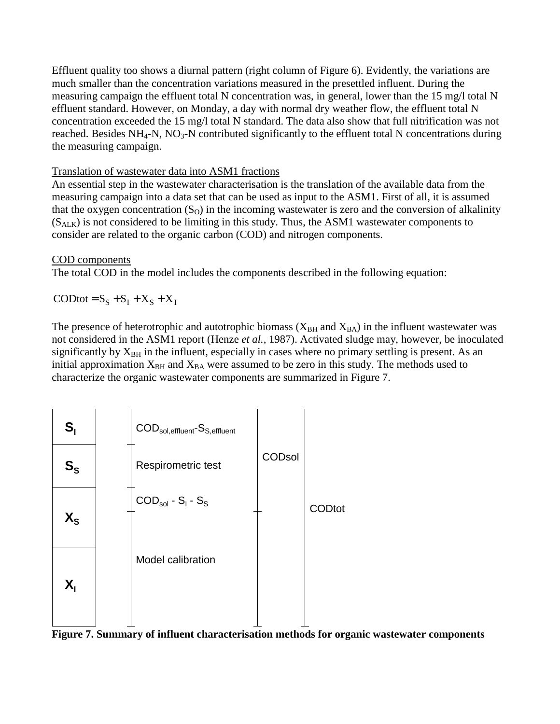Effluent quality too shows a diurnal pattern (right column of Figure 6). Evidently, the variations are much smaller than the concentration variations measured in the presettled influent. During the measuring campaign the effluent total N concentration was, in general, lower than the 15 mg/l total N effluent standard. However, on Monday, a day with normal dry weather flow, the effluent total N concentration exceeded the 15 mg/l total N standard. The data also show that full nitrification was not reached. Besides  $NH_4-N$ ,  $NO_3-N$  contributed significantly to the effluent total N concentrations during the measuring campaign.

## Translation of wastewater data into ASM1 fractions

An essential step in the wastewater characterisation is the translation of the available data from the measuring campaign into a data set that can be used as input to the ASM1. First of all, it is assumed that the oxygen concentration  $(S<sub>O</sub>)$  in the incoming wastewater is zero and the conversion of alkalinity  $(S<sub>ALK</sub>)$  is not considered to be limiting in this study. Thus, the ASM1 wastewater components to consider are related to the organic carbon (COD) and nitrogen components.

### COD components

The total COD in the model includes the components described in the following equation:

 $\text{CD}$ tot =  $\text{S}_\text{S}$  +  $\text{S}_\text{I}$  +  $\text{X}_\text{S}$  +  $\text{X}_\text{I}$ 

The presence of heterotrophic and autotrophic biomass ( $X_{BH}$  and  $X_{BA}$ ) in the influent wastewater was not considered in the ASM1 report (Henze *et al.*, 1987). Activated sludge may, however, be inoculated significantly by  $X_{BH}$  in the influent, especially in cases where no primary settling is present. As an initial approximation  $X_{BH}$  and  $X_{BA}$  were assumed to be zero in this study. The methods used to characterize the organic wastewater components are summarized in Figure 7.



**Figure 7. Summary of influent characterisation methods for organic wastewater components**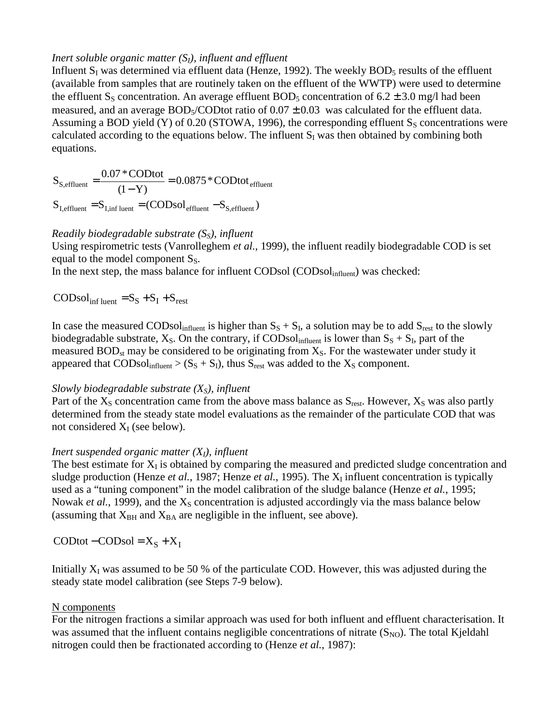## *Inert soluble organic matter (S<sub>I</sub>), influent and effluent*

Influent  $S_I$  was determined via effluent data (Henze, 1992). The weekly  $BOD_5$  results of the effluent (available from samples that are routinely taken on the effluent of the WWTP) were used to determine the effluent S<sub>S</sub> concentration. An average effluent BOD<sub>5</sub> concentration of  $6.2 \pm 3.0$  mg/l had been measured, and an average BOD<sub>5</sub>/CODtot ratio of  $0.07 \pm 0.03$  was calculated for the effluent data. Assuming a BOD yield (Y) of 0.20 (STOWA, 1996), the corresponding effluent  $S_s$  concentrations were calculated according to the equations below. The influent  $S_I$  was then obtained by combining both equations.

 $S_{S,effluent} = \frac{0.07 * \text{CODtot}}{(1 - Y)} = 0.0875 * \text{CODtot}_{effluent}$  $S_{I,effluent} = S_{I,inf luent} = (CODsol_{effluent} - S_{S,effluent})$ 

### *Readily biodegradable substrate (SS), influent*

Using respirometric tests (Vanrolleghem *et al.*, 1999), the influent readily biodegradable COD is set equal to the model component  $S_S$ .

In the next step, the mass balance for influent CODsol (CODsol<sub>influent</sub>) was checked:

 $\text{CODsol}_{\text{inf}} = S_{\text{S}} + S_{\text{I}} + S_{\text{rest}}$ 

In case the measured CODsol<sub>influent</sub> is higher than  $S_s + S_l$ , a solution may be to add  $S_{rest}$  to the slowly biodegradable substrate,  $X_S$ . On the contrary, if CODsol<sub>influent</sub> is lower than  $S_S + S_I$ , part of the measured  $BOD_{st}$  may be considered to be originating from  $X_s$ . For the wastewater under study it appeared that  $\text{CODsol}_{\text{influent}} > (S_S + S_I)$ , thus  $S_{\text{rest}}$  was added to the  $X_S$  component.

### *Slowly biodegradable substrate (XS), influent*

Part of the  $X_S$  concentration came from the above mass balance as  $S_{rest}$ . However,  $X_S$  was also partly determined from the steady state model evaluations as the remainder of the particulate COD that was not considered  $X_I$  (see below).

### *Inert suspended organic matter (XI), influent*

The best estimate for  $X_I$  is obtained by comparing the measured and predicted sludge concentration and sludge production (Henze *et al.*, 1987; Henze *et al.*, 1995). The X<sub>I</sub> influent concentration is typically used as a "tuning component" in the model calibration of the sludge balance (Henze *et al.*, 1995; Nowak *et al.*, 1999), and the  $X_s$  concentration is adjusted accordingly via the mass balance below (assuming that  $X_{BH}$  and  $X_{BA}$  are negligible in the influent, see above).

 $\text{CD}$ tot –  $\text{CD}$ sol =  $X_{\text{S}} + X_{\text{I}}$ 

Initially  $X_I$  was assumed to be 50 % of the particulate COD. However, this was adjusted during the steady state model calibration (see Steps 7-9 below).

### N components

For the nitrogen fractions a similar approach was used for both influent and effluent characterisation. It was assumed that the influent contains negligible concentrations of nitrate  $(S_{NO})$ . The total Kjeldahl nitrogen could then be fractionated according to (Henze *et al.*, 1987):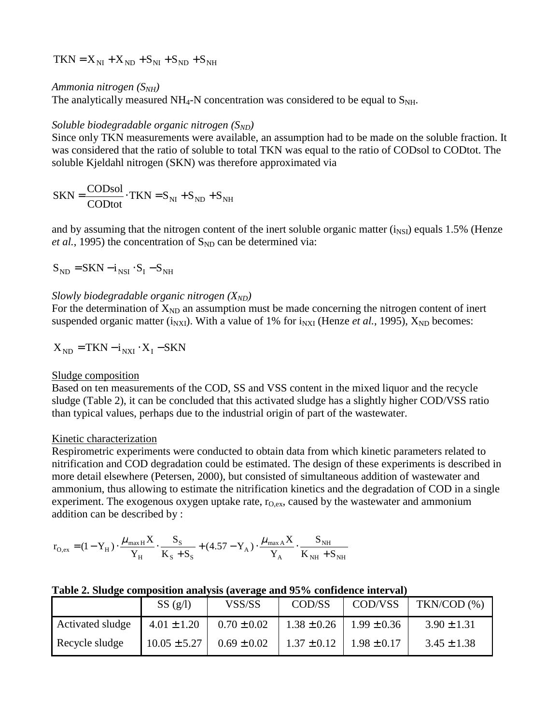$TKN = X_{NI} + X_{ND} + S_{NI} + S_{ND} + S_{NH}$ 

*Ammonia nitrogen (SNH)*

The analytically measured  $NH_4$ -N concentration was considered to be equal to  $S_{NH}$ .

# *Soluble biodegradable organic nitrogen (SND)*

Since only TKN measurements were available, an assumption had to be made on the soluble fraction. It was considered that the ratio of soluble to total TKN was equal to the ratio of CODsol to CODtot. The soluble Kjeldahl nitrogen (SKN) was therefore approximated via

$$
SKN = \frac{CODsol}{CODtot} \cdot TKN = S_{NI} + S_{ND} + S_{NH}
$$

and by assuming that the nitrogen content of the inert soluble organic matter  $(i_{\rm NSI})$  equals 1.5% (Henze *et al.*, 1995) the concentration of  $S_{ND}$  can be determined via:

$$
S_{ND} = SKN - i_{NSI} \cdot S_I - S_{NH}
$$

# *Slowly biodegradable organic nitrogen (XND)*

For the determination of  $X_{ND}$  an assumption must be made concerning the nitrogen content of inert suspended organic matter ( $i_{\text{NXI}}$ ). With a value of 1% for  $i_{\text{NXI}}$  (Henze *et al.*, 1995),  $X_{\text{ND}}$  becomes:

$$
X_{ND} = TKN - i_{NXI} \cdot X_I - SKN
$$

### Sludge composition

Based on ten measurements of the COD, SS and VSS content in the mixed liquor and the recycle sludge (Table 2), it can be concluded that this activated sludge has a slightly higher COD/VSS ratio than typical values, perhaps due to the industrial origin of part of the wastewater.

### Kinetic characterization

Respirometric experiments were conducted to obtain data from which kinetic parameters related to nitrification and COD degradation could be estimated. The design of these experiments is described in more detail elsewhere (Petersen, 2000), but consisted of simultaneous addition of wastewater and ammonium, thus allowing to estimate the nitrification kinetics and the degradation of COD in a single experiment. The exogenous oxygen uptake rate,  $r_{O,ex}$ , caused by the wastewater and ammonium addition can be described by :

$$
r_{O,ex} = (1 - Y_H) \cdot \frac{\mu_{maxH} X}{Y_H} \cdot \frac{S_S}{K_S + S_S} + (4.57 - Y_A) \cdot \frac{\mu_{maxA} X}{Y_A} \cdot \frac{S_{NH}}{K_{NH} + S_{NH}}
$$

# **Table 2. Sludge composition analysis (average and 95% confidence interval)**

|                  | SS(g/l)          | VSS/SS          | COD/SS          | COD/VSS         | TKN/COD (%)     |
|------------------|------------------|-----------------|-----------------|-----------------|-----------------|
| Activated sludge | $4.01 \pm 1.20$  | $0.70 \pm 0.02$ | $1.38 \pm 0.26$ | $1.99 \pm 0.36$ | $3.90 \pm 1.31$ |
| Recycle sludge   | $10.05 \pm 5.27$ | $0.69 \pm 0.02$ | $1.37 \pm 0.12$ | $1.98 \pm 0.17$ | $3.45 \pm 1.38$ |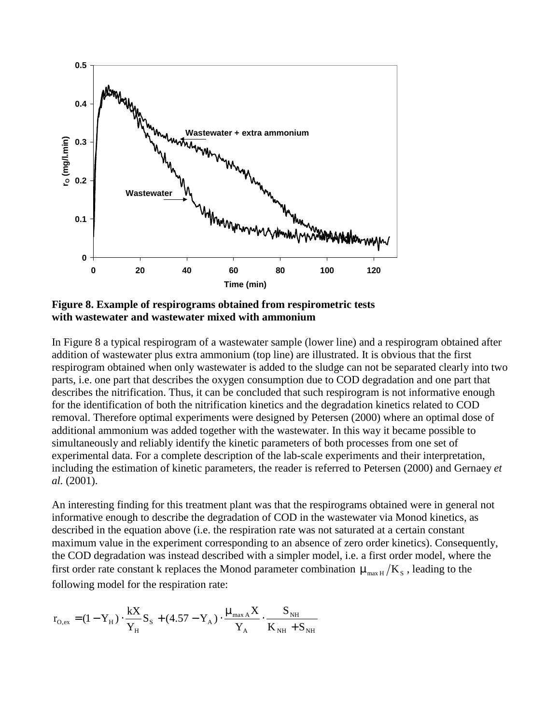

**Figure 8. Example of respirograms obtained from respirometric tests with wastewater and wastewater mixed with ammonium**

In Figure 8 a typical respirogram of a wastewater sample (lower line) and a respirogram obtained after addition of wastewater plus extra ammonium (top line) are illustrated. It is obvious that the first respirogram obtained when only wastewater is added to the sludge can not be separated clearly into two parts, i.e. one part that describes the oxygen consumption due to COD degradation and one part that describes the nitrification. Thus, it can be concluded that such respirogram is not informative enough for the identification of both the nitrification kinetics and the degradation kinetics related to COD removal. Therefore optimal experiments were designed by Petersen (2000) where an optimal dose of additional ammonium was added together with the wastewater. In this way it became possible to simultaneously and reliably identify the kinetic parameters of both processes from one set of experimental data. For a complete description of the lab-scale experiments and their interpretation, including the estimation of kinetic parameters, the reader is referred to Petersen (2000) and Gernaey *et al.* (2001).

An interesting finding for this treatment plant was that the respirograms obtained were in general not informative enough to describe the degradation of COD in the wastewater via Monod kinetics, as described in the equation above (i.e. the respiration rate was not saturated at a certain constant maximum value in the experiment corresponding to an absence of zero order kinetics). Consequently, the COD degradation was instead described with a simpler model, i.e. a first order model, where the first order rate constant k replaces the Monod parameter combination  $\mu_{\text{max H}}/K_s$ , leading to the following model for the respiration rate:

$$
r_{\rm O,ex} = (1 - Y_{\rm H}) \cdot \frac{kX}{Y_{\rm H}} S_{\rm S} + (4.57 - Y_{\rm A}) \cdot \frac{\mu_{\rm max \, A} X}{Y_{\rm A}} \cdot \frac{S_{\rm NH}}{K_{\rm NH} + S_{\rm NH}}
$$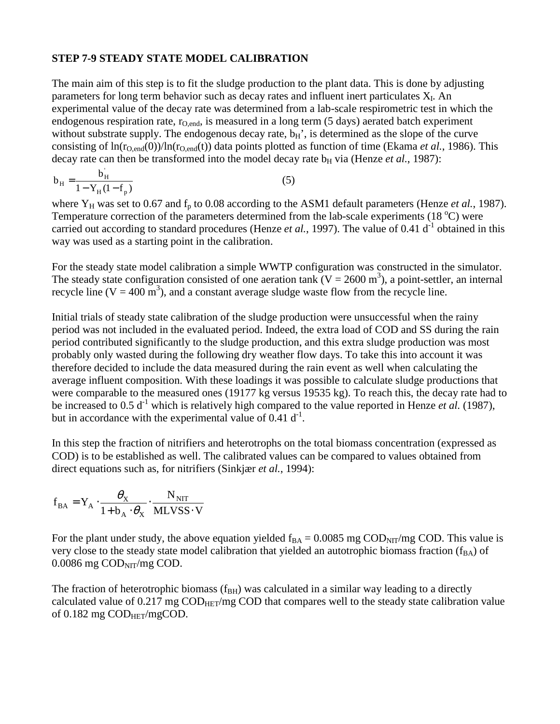#### **STEP 7-9 STEADY STATE MODEL CALIBRATION**

The main aim of this step is to fit the sludge production to the plant data. This is done by adjusting parameters for long term behavior such as decay rates and influent inert particulates  $X<sub>1</sub>$ . An experimental value of the decay rate was determined from a lab-scale respirometric test in which the endogenous respiration rate,  $r_{O,end}$ , is measured in a long term (5 days) aerated batch experiment without substrate supply. The endogenous decay rate,  $b_H$ ', is determined as the slope of the curve consisting of  $\ln(r_{\text{O end}}(0))/\ln(r_{\text{O end}}(t))$  data points plotted as function of time (Ekama *et al.*, 1986). This decay rate can then be transformed into the model decay rate  $b<sub>H</sub>$  via (Henze *et al.*, 1987):

$$
b_{\rm H} = \frac{b_{\rm H}}{1 - Y_{\rm H} (1 - f_{\rm p})}
$$
 (5)

where  $Y_H$  was set to 0.67 and  $f_p$  to 0.08 according to the ASM1 default parameters (Henze *et al.*, 1987). Temperature correction of the parameters determined from the lab-scale experiments (18  $^{\circ}$ C) were carried out according to standard procedures (Henze *et al.*, 1997). The value of 0.41  $d^{-1}$  obtained in this way was used as a starting point in the calibration.

For the steady state model calibration a simple WWTP configuration was constructed in the simulator. The steady state configuration consisted of one aeration tank ( $V = 2600$  m<sup>3</sup>), a point-settler, an internal recycle line  $(V = 400 \text{ m}^3)$ , and a constant average sludge waste flow from the recycle line.

Initial trials of steady state calibration of the sludge production were unsuccessful when the rainy period was not included in the evaluated period. Indeed, the extra load of COD and SS during the rain period contributed significantly to the sludge production, and this extra sludge production was most probably only wasted during the following dry weather flow days. To take this into account it was therefore decided to include the data measured during the rain event as well when calculating the average influent composition. With these loadings it was possible to calculate sludge productions that were comparable to the measured ones (19177 kg versus 19535 kg). To reach this, the decay rate had to be increased to 0.5 d-1 which is relatively high compared to the value reported in Henze *et al.* (1987), but in accordance with the experimental value of 0.41  $d<sup>-1</sup>$ .

In this step the fraction of nitrifiers and heterotrophs on the total biomass concentration (expressed as COD) is to be established as well. The calibrated values can be compared to values obtained from direct equations such as, for nitrifiers (Sinkjær *et al.*, 1994):

$$
f_{BA} = Y_A \cdot \frac{\theta_X}{1 + b_A \cdot \theta_X} \cdot \frac{N_{NIT}}{MLVSS \cdot V}
$$

For the plant under study, the above equation yielded  $f_{BA} = 0.0085$  mg COD<sub>NIT</sub>/mg COD. This value is very close to the steady state model calibration that yielded an autotrophic biomass fraction  $(f_{BA})$  of  $0.0086$  mg  $\text{COD}_{\text{NIT}}$ /mg  $\text{COD}$ .

The fraction of heterotrophic biomass  $(f<sub>BH</sub>)$  was calculated in a similar way leading to a directly calculated value of  $0.217 \text{ mg } COD_{\text{HET}}/\text{mg } COD$  that compares well to the steady state calibration value of  $0.182$  mg  $\text{COD}_{\text{HET}}/\text{mgCOD}$ .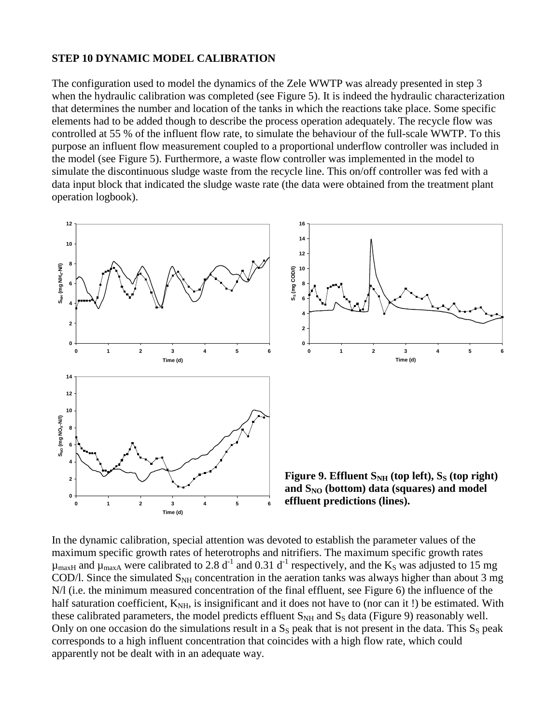#### **STEP 10 DYNAMIC MODEL CALIBRATION**

The configuration used to model the dynamics of the Zele WWTP was already presented in step 3 when the hydraulic calibration was completed (see Figure 5). It is indeed the hydraulic characterization that determines the number and location of the tanks in which the reactions take place. Some specific elements had to be added though to describe the process operation adequately. The recycle flow was controlled at 55 % of the influent flow rate, to simulate the behaviour of the full-scale WWTP. To this purpose an influent flow measurement coupled to a proportional underflow controller was included in the model (see Figure 5). Furthermore, a waste flow controller was implemented in the model to simulate the discontinuous sludge waste from the recycle line. This on/off controller was fed with a data input block that indicated the sludge waste rate (the data were obtained from the treatment plant operation logbook).



In the dynamic calibration, special attention was devoted to establish the parameter values of the maximum specific growth rates of heterotrophs and nitrifiers. The maximum specific growth rates  $\mu_{\text{maxH}}$  and  $\mu_{\text{maxA}}$  were calibrated to 2.8 d<sup>-1</sup> and 0.31 d<sup>-1</sup> respectively, and the K<sub>S</sub> was adjusted to 15 mg COD/l. Since the simulated  $S_{NH}$  concentration in the aeration tanks was always higher than about 3 mg N/l (i.e. the minimum measured concentration of the final effluent, see Figure 6) the influence of the half saturation coefficient,  $K_{NH}$ , is insignificant and it does not have to (nor can it !) be estimated. With these calibrated parameters, the model predicts effluent  $S_{NH}$  and  $S_S$  data (Figure 9) reasonably well. Only on one occasion do the simulations result in a  $S_s$  peak that is not present in the data. This  $S_s$  peak corresponds to a high influent concentration that coincides with a high flow rate, which could apparently not be dealt with in an adequate way.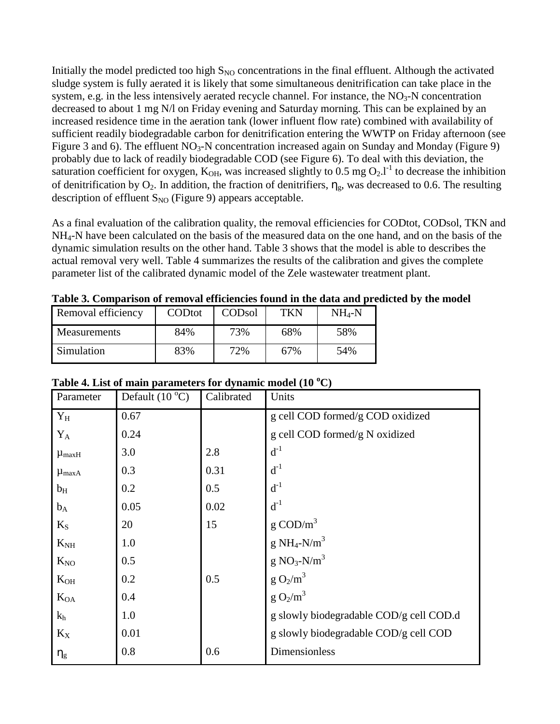Initially the model predicted too high  $S_{NO}$  concentrations in the final effluent. Although the activated sludge system is fully aerated it is likely that some simultaneous denitrification can take place in the system, e.g. in the less intensively aerated recycle channel. For instance, the  $NO<sub>3</sub>-N$  concentration decreased to about 1 mg N/l on Friday evening and Saturday morning. This can be explained by an increased residence time in the aeration tank (lower influent flow rate) combined with availability of sufficient readily biodegradable carbon for denitrification entering the WWTP on Friday afternoon (see Figure 3 and 6). The effluent  $NO_3-N$  concentration increased again on Sunday and Monday (Figure 9) probably due to lack of readily biodegradable COD (see Figure 6). To deal with this deviation, the saturation coefficient for oxygen,  $K_{OH}$ , was increased slightly to 0.5 mg  $O_2.I<sup>-1</sup>$  to decrease the inhibition of denitrification by  $O_2$ . In addition, the fraction of denitrifiers,  $\eta_g$ , was decreased to 0.6. The resulting description of effluent  $S_{NO}$  (Figure 9) appears acceptable.

As a final evaluation of the calibration quality, the removal efficiencies for CODtot, CODsol, TKN and NH4-N have been calculated on the basis of the measured data on the one hand, and on the basis of the dynamic simulation results on the other hand. Table 3 shows that the model is able to describes the actual removal very well. Table 4 summarizes the results of the calibration and gives the complete parameter list of the calibrated dynamic model of the Zele wastewater treatment plant.

| Table J. Comparison of Femoval emelencies found in the data and pred |               |               |     |          |
|----------------------------------------------------------------------|---------------|---------------|-----|----------|
| Removal efficiency                                                   | <b>CODtot</b> | <b>CODsol</b> | TKN | $NH_A-N$ |
| <b>Measurements</b>                                                  | 84%           | 73%           | 68% | 58%      |
| Simulation                                                           | 83%           | 72%           | 67% | 54%      |

**Table 3. Comparison of removal efficiencies found in the data and predicted by the model**

| Parameter           | Default $(10^{\circ}C)$ | Calibrated | Units                                   |
|---------------------|-------------------------|------------|-----------------------------------------|
| $Y_H$               | 0.67                    |            | g cell COD formed/g COD oxidized        |
| $Y_A$               | 0.24                    |            | g cell COD formed/g N oxidized          |
| $\mu_{maxH}$        | 3.0                     | 2.8        | $d^{-1}$                                |
| $\mu_{\text{maxA}}$ | 0.3                     | 0.31       | $d^{-1}$                                |
| $b_H$               | 0.2                     | 0.5        | $d^{-1}$                                |
| $b_A$               | 0.05                    | 0.02       | $d^{-1}$                                |
| $K_{S}$             | 20                      | 15         | $g$ COD/ $m3$                           |
| $K_{NH}$            | 1.0                     |            | g NH <sub>4</sub> -N/m <sup>3</sup>     |
| $K_{NO}$            | 0.5                     |            | $g NO3-N/m3$                            |
| $K_{OH}$            | 0.2                     | 0.5        | g O <sub>2</sub> /m <sup>3</sup>        |
| $K_{OA}$            | 0.4                     |            | g O <sub>2</sub> /m <sup>3</sup>        |
| $k_h$               | 1.0                     |            | g slowly biodegradable COD/g cell COD.d |
| $K_X$               | 0.01                    |            | g slowly biodegradable COD/g cell COD   |
| $\eta_g$            | 0.8                     | 0.6        | Dimensionless                           |

**Table 4. List of main parameters for dynamic model (10 <sup>o</sup> C)**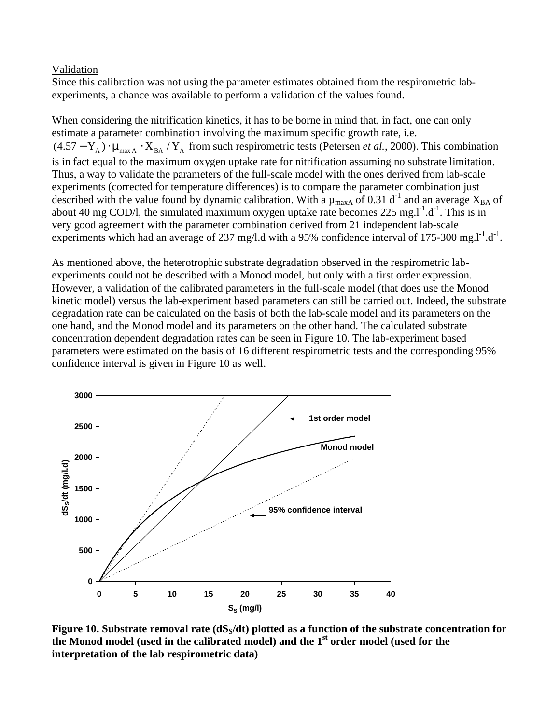#### Validation

Since this calibration was not using the parameter estimates obtained from the respirometric labexperiments, a chance was available to perform a validation of the values found.

When considering the nitrification kinetics, it has to be borne in mind that, in fact, one can only estimate a parameter combination involving the maximum specific growth rate, i.e.  $(4.57 - Y_A) \cdot \mu_{\text{max A}} \cdot X_{BA} / Y_A$  from such respirometric tests (Petersen *et al.*, 2000). This combination is in fact equal to the maximum oxygen uptake rate for nitrification assuming no substrate limitation. Thus, a way to validate the parameters of the full-scale model with the ones derived from lab-scale experiments (corrected for temperature differences) is to compare the parameter combination just described with the value found by dynamic calibration. With a  $\mu_{\text{maxA}}$  of 0.31 d<sup>-1</sup> and an average X<sub>BA</sub> of about 40 mg COD/l, the simulated maximum oxygen uptake rate becomes  $225 \text{ mg} \cdot \text{L}^{-1} \cdot \text{d}^{-1}$ . This is in very good agreement with the parameter combination derived from 21 independent lab-scale experiments which had an average of 237 mg/l.d with a 95% confidence interval of 175-300 mg. $l^{-1}$ .d<sup>-1</sup>.

As mentioned above, the heterotrophic substrate degradation observed in the respirometric labexperiments could not be described with a Monod model, but only with a first order expression. However, a validation of the calibrated parameters in the full-scale model (that does use the Monod kinetic model) versus the lab-experiment based parameters can still be carried out. Indeed, the substrate degradation rate can be calculated on the basis of both the lab-scale model and its parameters on the one hand, and the Monod model and its parameters on the other hand. The calculated substrate concentration dependent degradation rates can be seen in Figure 10. The lab-experiment based parameters were estimated on the basis of 16 different respirometric tests and the corresponding 95% confidence interval is given in Figure 10 as well.



Figure 10. Substrate removal rate (dS<sub>S</sub>/dt) plotted as a function of the substrate concentration for **the Monod model (used in the calibrated model) and the 1st order model (used for the interpretation of the lab respirometric data)**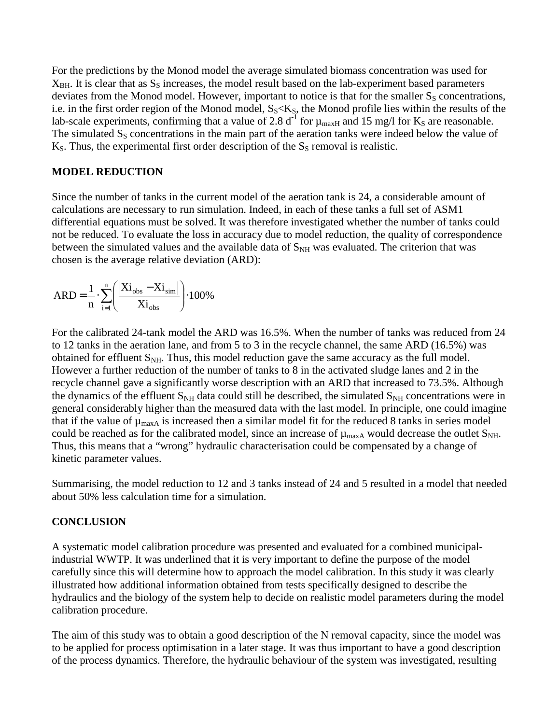For the predictions by the Monod model the average simulated biomass concentration was used for  $X<sub>BH</sub>$ . It is clear that as  $S<sub>S</sub>$  increases, the model result based on the lab-experiment based parameters deviates from the Monod model. However, important to notice is that for the smaller  $S_S$  concentrations, i.e. in the first order region of the Monod model,  $S_S < K_S$ , the Monod profile lies within the results of the lab-scale experiments, confirming that a value of 2.8  $d^{-1}$  for  $\mu_{\text{maxH}}$  and 15 mg/l for K<sub>S</sub> are reasonable. The simulated  $S_S$  concentrations in the main part of the aeration tanks were indeed below the value of  $K<sub>S</sub>$ . Thus, the experimental first order description of the  $S<sub>S</sub>$  removal is realistic.

#### **MODEL REDUCTION**

Since the number of tanks in the current model of the aeration tank is 24, a considerable amount of calculations are necessary to run simulation. Indeed, in each of these tanks a full set of ASM1 differential equations must be solved. It was therefore investigated whether the number of tanks could not be reduced. To evaluate the loss in accuracy due to model reduction, the quality of correspondence between the simulated values and the available data of  $S_{NH}$  was evaluated. The criterion that was chosen is the average relative deviation (ARD):

$$
ARD = \frac{1}{n} \cdot \sum_{i=1}^{n} \left( \frac{|Xi_{obs} - Xi_{sim}|}{Xi_{obs}} \right) \cdot 100\%
$$

For the calibrated 24-tank model the ARD was 16.5%. When the number of tanks was reduced from 24 to 12 tanks in the aeration lane, and from 5 to 3 in the recycle channel, the same ARD (16.5%) was obtained for effluent  $S_{NH}$ . Thus, this model reduction gave the same accuracy as the full model. However a further reduction of the number of tanks to 8 in the activated sludge lanes and 2 in the recycle channel gave a significantly worse description with an ARD that increased to 73.5%. Although the dynamics of the effluent  $S_{NH}$  data could still be described, the simulated  $S_{NH}$  concentrations were in general considerably higher than the measured data with the last model. In principle, one could imagine that if the value of  $\mu_{\text{maxA}}$  is increased then a similar model fit for the reduced 8 tanks in series model could be reached as for the calibrated model, since an increase of  $\mu_{\text{maxA}}$  would decrease the outlet  $S_{NH}$ . Thus, this means that a "wrong" hydraulic characterisation could be compensated by a change of kinetic parameter values.

Summarising, the model reduction to 12 and 3 tanks instead of 24 and 5 resulted in a model that needed about 50% less calculation time for a simulation.

### **CONCLUSION**

A systematic model calibration procedure was presented and evaluated for a combined municipalindustrial WWTP. It was underlined that it is very important to define the purpose of the model carefully since this will determine how to approach the model calibration. In this study it was clearly illustrated how additional information obtained from tests specifically designed to describe the hydraulics and the biology of the system help to decide on realistic model parameters during the model calibration procedure.

The aim of this study was to obtain a good description of the N removal capacity, since the model was to be applied for process optimisation in a later stage. It was thus important to have a good description of the process dynamics. Therefore, the hydraulic behaviour of the system was investigated, resulting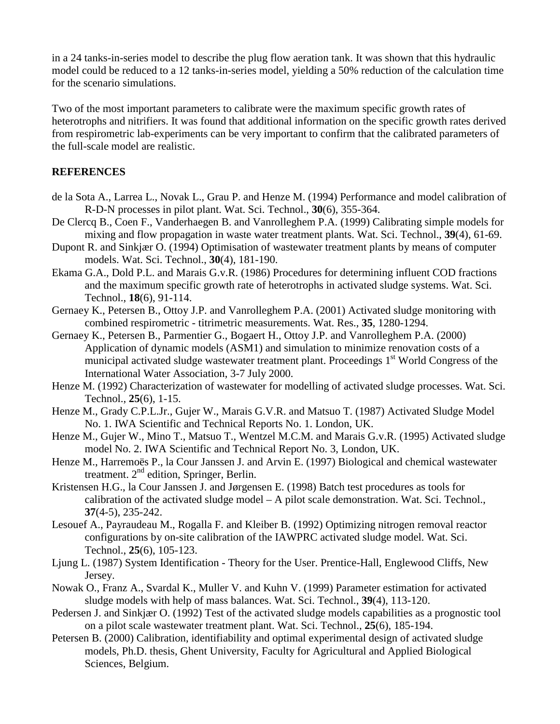in a 24 tanks-in-series model to describe the plug flow aeration tank. It was shown that this hydraulic model could be reduced to a 12 tanks-in-series model, yielding a 50% reduction of the calculation time for the scenario simulations.

Two of the most important parameters to calibrate were the maximum specific growth rates of heterotrophs and nitrifiers. It was found that additional information on the specific growth rates derived from respirometric lab-experiments can be very important to confirm that the calibrated parameters of the full-scale model are realistic.

### **REFERENCES**

- de la Sota A., Larrea L., Novak L., Grau P. and Henze M. (1994) Performance and model calibration of R-D-N processes in pilot plant. Wat. Sci. Technol., **30**(6), 355-364.
- De Clercq B., Coen F., Vanderhaegen B. and Vanrolleghem P.A. (1999) Calibrating simple models for mixing and flow propagation in waste water treatment plants. Wat. Sci. Technol., **39**(4), 61-69.
- Dupont R. and Sinkjær O. (1994) Optimisation of wastewater treatment plants by means of computer models. Wat. Sci. Technol., **30**(4), 181-190.
- Ekama G.A., Dold P.L. and Marais G.v.R. (1986) Procedures for determining influent COD fractions and the maximum specific growth rate of heterotrophs in activated sludge systems. Wat. Sci. Technol., **18**(6), 91-114.
- Gernaey K., Petersen B., Ottoy J.P. and Vanrolleghem P.A. (2001) Activated sludge monitoring with combined respirometric - titrimetric measurements. Wat. Res., **35**, 1280-1294.
- Gernaey K., Petersen B., Parmentier G., Bogaert H., Ottoy J.P. and Vanrolleghem P.A. (2000) Application of dynamic models (ASM1) and simulation to minimize renovation costs of a municipal activated sludge wastewater treatment plant. Proceedings  $1<sup>st</sup>$  World Congress of the International Water Association, 3-7 July 2000.
- Henze M. (1992) Characterization of wastewater for modelling of activated sludge processes. Wat. Sci. Technol., **25**(6), 1-15.
- Henze M., Grady C.P.L.Jr., Gujer W., Marais G.V.R. and Matsuo T. (1987) Activated Sludge Model No. 1. IWA Scientific and Technical Reports No. 1. London, UK.
- Henze M., Gujer W., Mino T., Matsuo T., Wentzel M.C.M. and Marais G.v.R. (1995) Activated sludge model No. 2. IWA Scientific and Technical Report No. 3, London, UK.
- Henze M., Harremoës P., la Cour Janssen J. and Arvin E. (1997) Biological and chemical wastewater treatment.  $2<sup>nd</sup>$  edition, Springer, Berlin.
- Kristensen H.G., la Cour Janssen J. and Jørgensen E. (1998) Batch test procedures as tools for calibration of the activated sludge model – A pilot scale demonstration. Wat. Sci. Technol., **37**(4-5), 235-242.
- Lesouef A., Payraudeau M., Rogalla F. and Kleiber B. (1992) Optimizing nitrogen removal reactor configurations by on-site calibration of the IAWPRC activated sludge model. Wat. Sci. Technol., **25**(6), 105-123.
- Ljung L. (1987) System Identification Theory for the User. Prentice-Hall, Englewood Cliffs, New Jersey.
- Nowak O., Franz A., Svardal K., Muller V. and Kuhn V. (1999) Parameter estimation for activated sludge models with help of mass balances. Wat. Sci. Technol., **39**(4), 113-120.
- Pedersen J. and Sinkjær O. (1992) Test of the activated sludge models capabilities as a prognostic tool on a pilot scale wastewater treatment plant. Wat. Sci. Technol., **25**(6), 185-194.
- Petersen B. (2000) Calibration, identifiability and optimal experimental design of activated sludge models, Ph.D. thesis, Ghent University, Faculty for Agricultural and Applied Biological Sciences, Belgium.